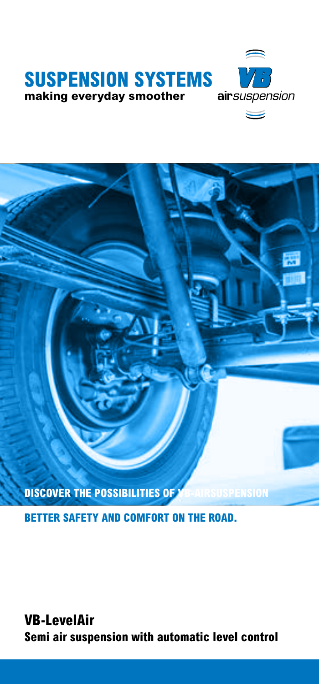



**BETTER SAFETY AND COMFORT ON THE ROAD.** 

**VB-LevelAir Semi air suspension with automatic level control**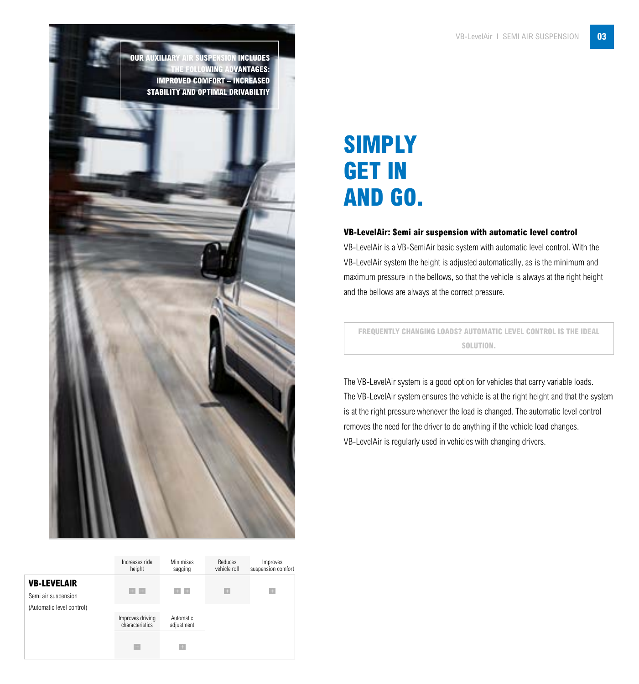**OUR AUXILIARY AIR SUSPENSION INCLUDES THE FOLLOWING ADVANTAGES: IMPROVED COMFORT – INCREASED STABILITY AND OPTIMAL DRIVABILTIY**

|                                           | Increases ride<br>height            | <b>Minimises</b><br>sagging    | Reduces<br>vehicle roll | Improves<br>suspension comfort |
|-------------------------------------------|-------------------------------------|--------------------------------|-------------------------|--------------------------------|
| <b>VB-LEVELAIR</b><br>Semi air suspension | $+ +$                               | $+ +$                          | $+$                     | $\div$                         |
| (Automatic level control)                 | Improves driving<br>characteristics | <b>Automatic</b><br>adjustment |                         |                                |
|                                           | $\rightarrow$                       | A.                             |                         |                                |

# **SIMPLY GET IN AND GO.**

#### **VB-LevelAir: Semi air suspension with automatic level control**

VB-LevelAir is a VB-SemiAir basic system with automatic level control. With the VB-LevelAir system the height is adjusted automatically, as is the minimum and maximum pressure in the bellows, so that the vehicle is always at the right height and the bellows are always at the correct pressure.

**FREQUENTLY CHANGING LOADS? AUTOMATIC LEVEL CONTROL IS THE IDEAL SOLUTION.**

The VB-LevelAir system is a good option for vehicles that carry variable loads. The VB-LevelAir system ensures the vehicle is at the right height and that the system is at the right pressure whenever the load is changed. The automatic level control removes the need for the driver to do anything if the vehicle load changes. VB-LevelAir is regularly used in vehicles with changing drivers.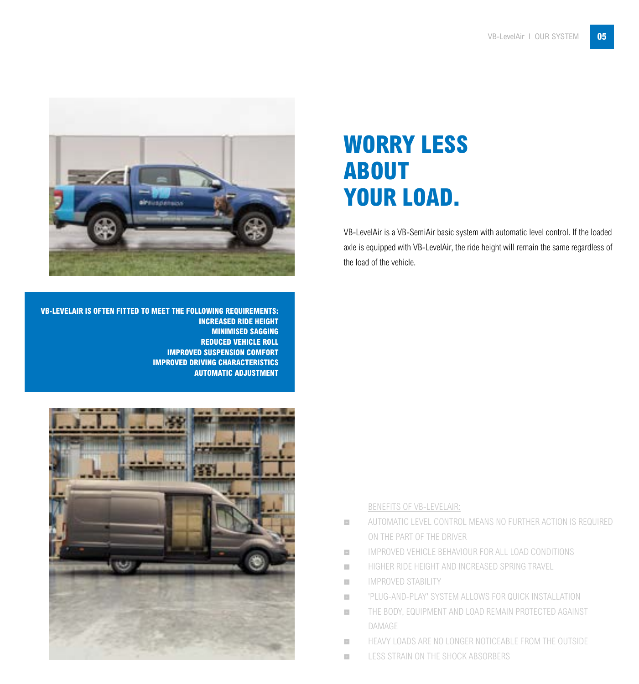

# **WORRY LESS ABOUT YOUR LOAD.**

VB-LevelAir is a VB-SemiAir basic system with automatic level control. If the loaded axle is equipped with VB-LevelAir, the ride height will remain the same regardless of the load of the vehicle.

**VB-LEVELAIR IS OFTEN FITTED TO MEET THE FOLLOWING REQUIREMENTS: INCREASED RIDE HEIGHT MINIMISED SAGGING REDUCED VEHICLE ROLL IMPROVED SUSPENSION COMFORT IMPROVED DRIVING CHARACTERISTICS AUTOMATIC ADJUSTMENT**



## BENEFITS OF VB-LEVELAIR:

- **EXECUTE AUTOMATIC LEVEL CONTROL MEANS NO FURTHER ACTION IS REQUIRED** ON THE PART OF THE DRIVER
- **EN EXECUTE IMPROVED VEHICLE BEHAVIOUR FOR ALL LOAD CONDITIONS**
- **EXECUTE:** HIGHER RIDE HEIGHT AND INCREASED SPRING TRAVEL
- **EXECUTE IMPROVED STABILITY**
- **EXECUTE:** 'PLUG-AND-PLAY' SYSTEM ALLOWS FOR QUICK INSTALLATION
- THE BODY, EQUIPMENT AND LOAD REMAIN PROTECTED AGAINST DAMAGE
- **EXECUTE HEAVY LOADS ARE NO LONGER NOTICEABLE FROM THE OUTSIDE**
- **EXECUTE:** LESS STRAIN ON THE SHOCK ABSORBERS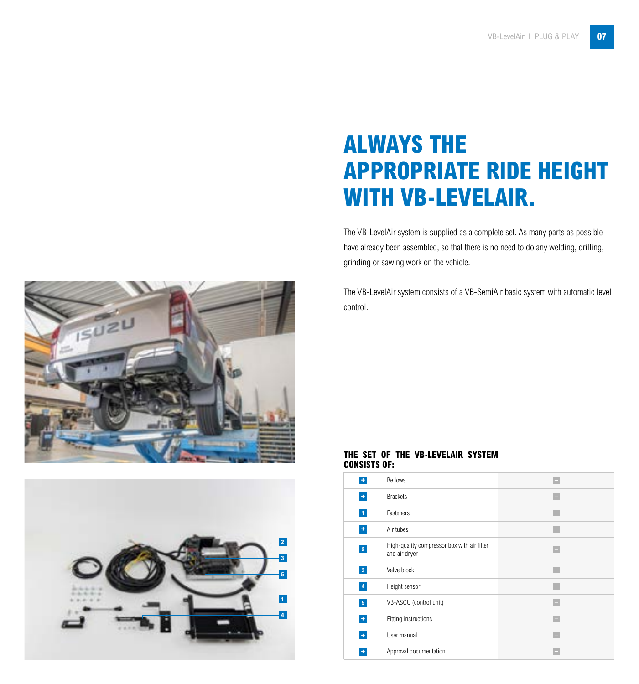# **ALWAYS THE APPROPRIATE RIDE HEIGHT WITH VB-LEVELAIR.**

The VB-LevelAir system is supplied as a complete set. As many parts as possible have already been assembled, so that there is no need to do any welding, drilling, grinding or sawing work on the vehicle.

The VB-LevelAir system consists of a VB-SemiAir basic system with automatic level control.





## **THE SET OF THE VB-LEVELAIR SYSTEM CONSISTS OF:**

| ٠                    | Bellows                                                      | $\leftarrow$                     |
|----------------------|--------------------------------------------------------------|----------------------------------|
| $\pm$                | <b>Brackets</b>                                              | $\leftarrow$                     |
| $\mathbf{1}$         | Fasteners                                                    | $\div$                           |
| $\color{red}+$       | Air tubes                                                    | $\pm$                            |
| $\overline{2}$       | High-quality compressor box with air filter<br>and air dryer | $\pm$                            |
| 3 <sup>1</sup>       | Valve block                                                  | $\leftarrow$                     |
| $\blacktriangleleft$ | Height sensor                                                | $\begin{array}{c} + \end{array}$ |
| 5 <sub>1</sub>       | VB-ASCU (control unit)                                       | $\pm$                            |
| ٠                    | Fitting instructions                                         | $\pm$                            |
| $\pm$                | User manual                                                  | $\div$                           |
| ٠                    | Approval documentation                                       | o                                |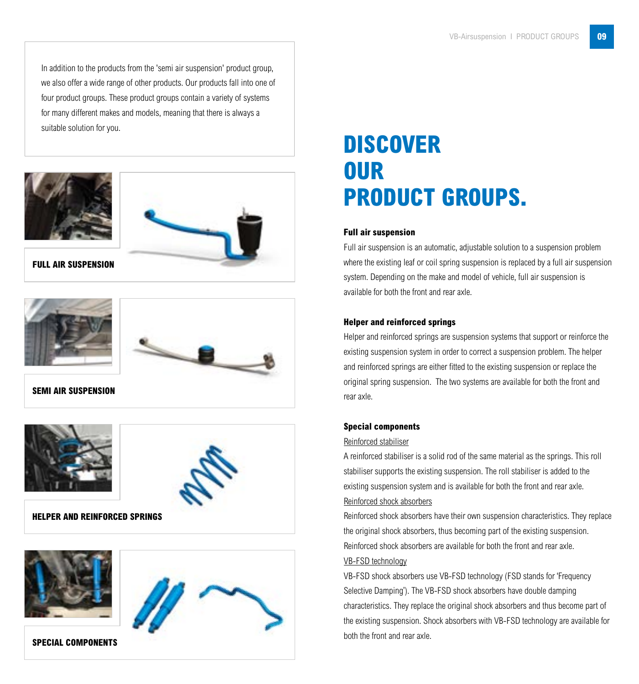In addition to the products from the 'semi air suspension' product group, we also offer a wide range of other products. Our products fall into one of four product groups. These product groups contain a variety of systems for many different makes and models, meaning that there is always a suitable solution for you.





**FULL AIR SUSPENSION**





**SEMI AIR SUSPENSION**





**HELPER AND REINFORCED SPRINGS**





## **SPECIAL COMPONENTS**

# **DISCOVER OUR PRODUCT GROUPS.**

## **Full air suspension**

Full air suspension is an automatic, adjustable solution to a suspension problem where the existing leaf or coil spring suspension is replaced by a full air suspension system. Depending on the make and model of vehicle, full air suspension is available for both the front and rear axle.

#### **Helper and reinforced springs**

Helper and reinforced springs are suspension systems that support or reinforce the existing suspension system in order to correct a suspension problem. The helper and reinforced springs are either fitted to the existing suspension or replace the original spring suspension. The two systems are available for both the front and rear axle.

#### **Special components**

#### Reinforced stabiliser

A reinforced stabiliser is a solid rod of the same material as the springs. This roll stabiliser supports the existing suspension. The roll stabiliser is added to the existing suspension system and is available for both the front and rear axle.

#### Reinforced shock absorbers

Reinforced shock absorbers have their own suspension characteristics. They replace the original shock absorbers, thus becoming part of the existing suspension. Reinforced shock absorbers are available for both the front and rear axle.

## VB-FSD technology

VB-FSD shock absorbers use VB-FSD technology (FSD stands for 'Frequency Selective Damping'). The VB-FSD shock absorbers have double damping characteristics. They replace the original shock absorbers and thus become part of the existing suspension. Shock absorbers with VB-FSD technology are available for both the front and rear axle.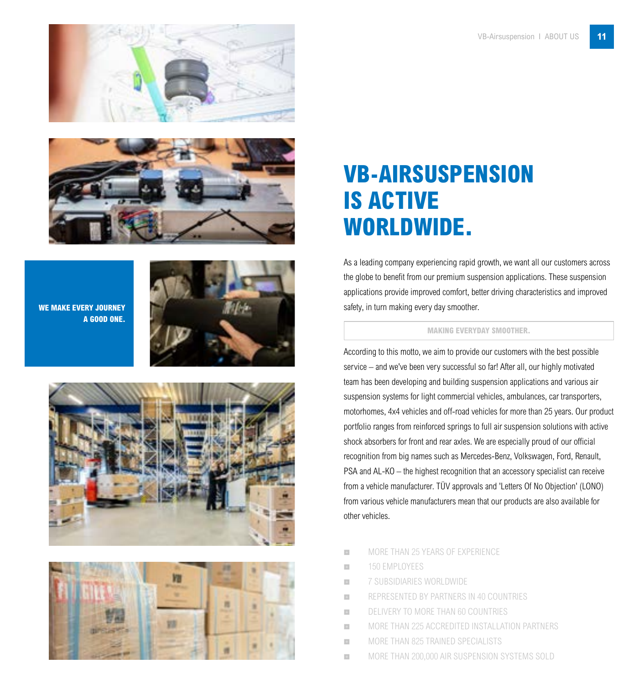



**WE MAKE EVERY JOURNEY A GOOD ONE.**







# **VB-AIRSUSPENSION IS ACTIVE WORLDWIDE.**

As a leading company experiencing rapid growth, we want all our customers across the globe to benefit from our premium suspension applications. These suspension applications provide improved comfort, better driving characteristics and improved safety, in turn making every day smoother.

## **MAKING EVERYDAY SMOOTHER.**

According to this motto, we aim to provide our customers with the best possible service – and we've been very successful so far! After all, our highly motivated team has been developing and building suspension applications and various air suspension systems for light commercial vehicles, ambulances, car transporters, motorhomes, 4x4 vehicles and off-road vehicles for more than 25 years. Our product portfolio ranges from reinforced springs to full air suspension solutions with active shock absorbers for front and rear axles. We are especially proud of our official recognition from big names such as Mercedes-Benz, Volkswagen, Ford, Renault, PSA and AL-KO – the highest recognition that an accessory specialist can receive from a vehicle manufacturer. TÜV approvals and 'Letters Of No Objection' (LONO) from various vehicle manufacturers mean that our products are also available for other vehicles.

- **MORE THAN 25 YEARS OF EXPERIENCE**
- **THE 150 EMPLOYEES**
- **THE TELL ASSISTER STATES WORLDWIDE**
- **ENEXAGE REPRESENTED BY PARTNERS IN 40 COUNTRIES**
- DELIVERY TO MORE THAN 60 COUNTRIES
- $\blacksquare$  MORE THAN 225 ACCREDITED INSTALLATION PARTNERS
- **MORE THAN 825 TRAINED SPECIALISTS**
- **MORE THAN 200,000 AIR SUSPENSION SYSTEMS SOLD**